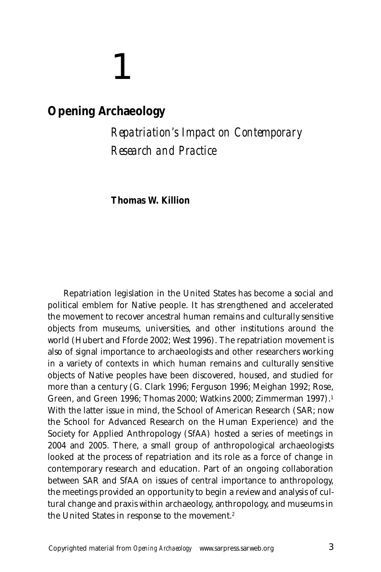# 1

# **Opening Archaeology**

*Repatriation's Impact on Contemporary Research and Practice*

**Thomas W. Killion**

Repatriation legislation in the United States has become a social and political emblem for Native people. It has strengthened and accelerated the movement to recover ancestral human remains and culturally sensitive objects from museums, universities, and other institutions around the world (Hubert and Fforde 2002; West 1996). The repatriation movement is also of signal importance to archaeologists and other researchers working in a variety of contexts in which human remains and culturally sensitive objects of Native peoples have been discovered, housed, and studied for more than a century (G. Clark 1996; Ferguson 1996; Meighan 1992; Rose, Green, and Green 1996; Thomas 2000; Watkins 2000; Zimmerman 1997).1 With the latter issue in mind, the School of American Research (SAR; now the School for Advanced Research on the Human Experience) and the Society for Applied Anthropology (SfAA) hosted a series of meetings in 2004 and 2005. There, a small group of anthropological archaeologists looked at the process of repatriation and its role as a force of change in contemporary research and education. Part of an ongoing collaboration between SAR and SfAA on issues of central importance to anthropology, the meetings provided an opportunity to begin a review and analysis of cultural change and praxis within archaeology, anthropology, and museums in the United States in response to the movement.2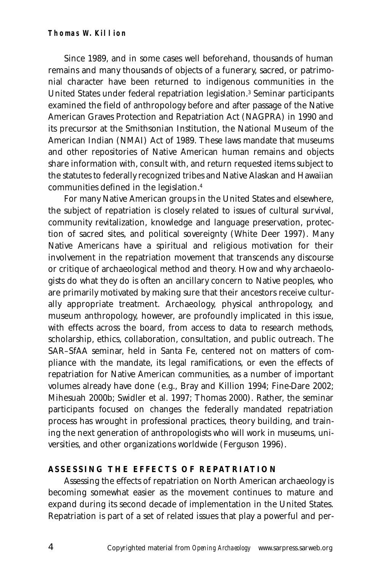#### **Thomas W. Killion**

Since 1989, and in some cases well beforehand, thousands of human remains and many thousands of objects of a funerary, sacred, or patrimonial character have been returned to indigenous communities in the United States under federal repatriation legislation.3 Seminar participants examined the field of anthropology before and after passage of the Native American Graves Protection and Repatriation Act (NAGPRA) in 1990 and its precursor at the Smithsonian Institution, the National Museum of the American Indian (NMAI) Act of 1989. These laws mandate that museums and other repositories of Native American human remains and objects share information with, consult with, and return requested items subject to the statutes to federally recognized tribes and Native Alaskan and Hawaiian communities defined in the legislation.4

For many Native American groups in the United States and elsewhere, the subject of repatriation is closely related to issues of cultural survival, community revitalization, knowledge and language preservation, protection of sacred sites, and political sovereignty (White Deer 1997). Many Native Americans have a spiritual and religious motivation for their involvement in the repatriation movement that transcends any discourse or critique of archaeological method and theory. How and why archaeologists do what they do is often an ancillary concern to Native peoples, who are primarily motivated by making sure that their ancestors receive culturally appropriate treatment. Archaeology, physical anthropology, and museum anthropology, however, are profoundly implicated in this issue, with effects across the board, from access to data to research methods, scholarship, ethics, collaboration, consultation, and public outreach. The SAR–SfAA seminar, held in Santa Fe, centered not on matters of compliance with the mandate, its legal ramifications, or even the effects of repatriation for Native American communities, as a number of important volumes already have done (e.g., Bray and Killion 1994; Fine-Dare 2002; Mihesuah 2000b; Swidler et al. 1997; Thomas 2000). Rather, the seminar participants focused on changes the federally mandated repatriation process has wrought in professional practices, theory building, and training the next generation of anthropologists who will work in museums, universities, and other organizations worldwide (Ferguson 1996).

### **ASSESSING THE EFFECTS OF REPATRIATION**

Assessing the effects of repatriation on North American archaeology is becoming somewhat easier as the movement continues to mature and expand during its second decade of implementation in the United States. Repatriation is part of a set of related issues that play a powerful and per-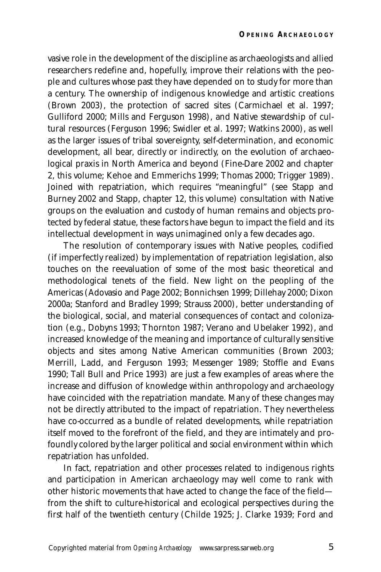vasive role in the development of the discipline as archaeologists and allied researchers redefine and, hopefully, improve their relations with the people and cultures whose past they have depended on to study for more than a century. The ownership of indigenous knowledge and artistic creations (Brown 2003), the protection of sacred sites (Carmichael et al. 1997; Gulliford 2000; Mills and Ferguson 1998), and Native stewardship of cultural resources (Ferguson 1996; Swidler et al. 1997; Watkins 2000), as well as the larger issues of tribal sovereignty, self-determination, and economic development, all bear, directly or indirectly, on the evolution of archaeological praxis in North America and beyond (Fine-Dare 2002 and chapter 2, this volume; Kehoe and Emmerichs 1999; Thomas 2000; Trigger 1989). Joined with repatriation, which requires "meaningful" (see Stapp and Burney 2002 and Stapp, chapter 12, this volume) consultation with Native groups on the evaluation and custody of human remains and objects protected by federal statue, these factors have begun to impact the field and its intellectual development in ways unimagined only a few decades ago.

The resolution of contemporary issues with Native peoples, codified (if imperfectly realized) by implementation of repatriation legislation, also touches on the reevaluation of some of the most basic theoretical and methodological tenets of the field. New light on the peopling of the Americas (Adovasio and Page 2002; Bonnichsen 1999; Dillehay 2000; Dixon 2000a; Stanford and Bradley 1999; Strauss 2000), better understanding of the biological, social, and material consequences of contact and colonization (e.g., Dobyns 1993; Thornton 1987; Verano and Ubelaker 1992), and increased knowledge of the meaning and importance of culturally sensitive objects and sites among Native American communities (Brown 2003; Merrill, Ladd, and Ferguson 1993; Messenger 1989; Stoffle and Evans 1990; Tall Bull and Price 1993) are just a few examples of areas where the increase and diffusion of knowledge within anthropology and archaeology have coincided with the repatriation mandate. Many of these changes may not be directly attributed to the impact of repatriation. They nevertheless have co-occurred as a bundle of related developments, while repatriation itself moved to the forefront of the field, and they are intimately and profoundly colored by the larger political and social environment within which repatriation has unfolded.

In fact, repatriation and other processes related to indigenous rights and participation in American archaeology may well come to rank with other historic movements that have acted to change the face of the field from the shift to culture-historical and ecological perspectives during the first half of the twentieth century (Childe 1925; J. Clarke 1939; Ford and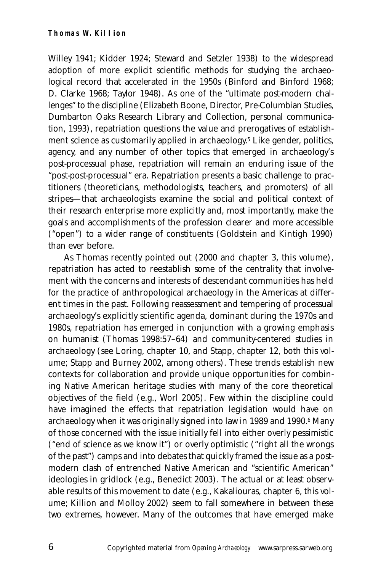Willey 1941; Kidder 1924; Steward and Setzler 1938) to the widespread adoption of more explicit scientific methods for studying the archaeological record that accelerated in the 1950s (Binford and Binford 1968; D. Clarke 1968; Taylor 1948). As one of the "ultimate post-modern challenges" to the discipline (Elizabeth Boone, Director, Pre-Columbian Studies, Dumbarton Oaks Research Library and Collection, personal communication, 1993), repatriation questions the value and prerogatives of establishment science as customarily applied in archaeology.<sup>5</sup> Like gender, politics, agency, and any number of other topics that emerged in archaeology's post-processual phase, repatriation will remain an enduring issue of the "post-post-processual" era. Repatriation presents a basic challenge to practitioners (theoreticians, methodologists, teachers, and promoters) of all stripes—that archaeologists examine the social and political context of their research enterprise more explicitly and, most importantly, make the goals and accomplishments of the profession clearer and more accessible ("open") to a wider range of constituents (Goldstein and Kintigh 1990) than ever before.

As Thomas recently pointed out (2000 and chapter 3, this volume), repatriation has acted to reestablish some of the centrality that involvement with the concerns and interests of descendant communities has held for the practice of anthropological archaeology in the Americas at different times in the past. Following reassessment and tempering of processual archaeology's explicitly scientific agenda, dominant during the 1970s and 1980s, repatriation has emerged in conjunction with a growing emphasis on humanist (Thomas 1998:57–64) and community-centered studies in archaeology (see Loring, chapter 10, and Stapp, chapter 12, both this volume; Stapp and Burney 2002, among others). These trends establish new contexts for collaboration and provide unique opportunities for combining Native American heritage studies with many of the core theoretical objectives of the field (e.g., Worl 2005). Few within the discipline could have imagined the effects that repatriation legislation would have on archaeology when it was originally signed into law in 1989 and 1990.<sup>6</sup> Many of those concerned with the issue initially fell into either overly pessimistic ("end of science as we know it") or overly optimistic ("right all the wrongs of the past") camps and into debates that quickly framed the issue as a postmodern clash of entrenched Native American and "scientific American" ideologies in gridlock (e.g., Benedict 2003). The actual or at least observable results of this movement to date (e.g., Kakaliouras, chapter 6, this volume; Killion and Molloy 2002) seem to fall somewhere in between these two extremes, however. Many of the outcomes that have emerged make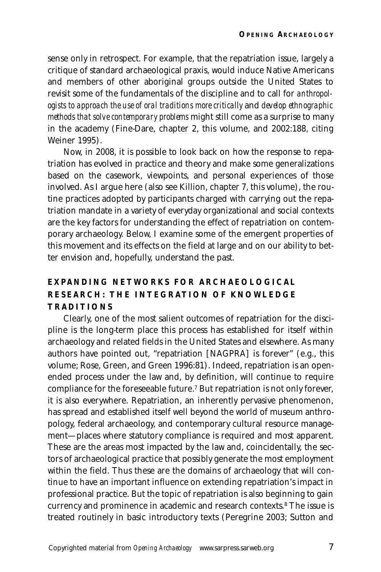sense only in retrospect. For example, that the repatriation issue, largely a critique of standard archaeological praxis, would induce Native Americans and members of other aboriginal groups outside the United States to revisit some of the fundamentals of the discipline and to call for *anthropologists to approach the use of oral traditions more critically* and *develop ethnographic methods that solve contemporary problems* might still come as a surprise to many in the academy (Fine-Dare, chapter 2, this volume, and 2002:188, citing Weiner 1995).

Now, in 2008, it is possible to look back on how the response to repatriation has evolved in practice and theory and make some generalizations based on the casework, viewpoints, and personal experiences of those involved. As I argue here (also see Killion, chapter 7, this volume), the routine practices adopted by participants charged with carrying out the repatriation mandate in a variety of everyday organizational and social contexts are the key factors for understanding the effect of repatriation on contemporary archaeology. Below, I examine some of the emergent properties of this movement and its effects on the field at large and on our ability to better envision and, hopefully, understand the past.

# **EXPANDING NETWORKS FOR ARCHAEOLOGICAL RESEARCH: THE INTEGRATION OF KNOWLEDGE TRADITIONS**

Clearly, one of the most salient outcomes of repatriation for the discipline is the long-term place this process has established for itself within archaeology and related fields in the United States and elsewhere. As many authors have pointed out, "repatriation [NAGPRA] is forever" (e.g., this volume; Rose, Green, and Green 1996:81). Indeed, repatriation is an openended process under the law and, by definition, will continue to require compliance for the foreseeable future.7 But repatriation is not only forever, it is also everywhere. Repatriation, an inherently pervasive phenomenon, has spread and established itself well beyond the world of museum anthropology, federal archaeology, and contemporary cultural resource management—places where statutory compliance is required and most apparent. These are the areas most impacted by the law and, coincidentally, the sectors of archaeological practice that possibly generate the most employment within the field. Thus these are the domains of archaeology that will continue to have an important influence on extending repatriation's impact in professional practice. But the topic of repatriation is also beginning to gain currency and prominence in academic and research contexts.8 The issue is treated routinely in basic introductory texts (Peregrine 2003; Sutton and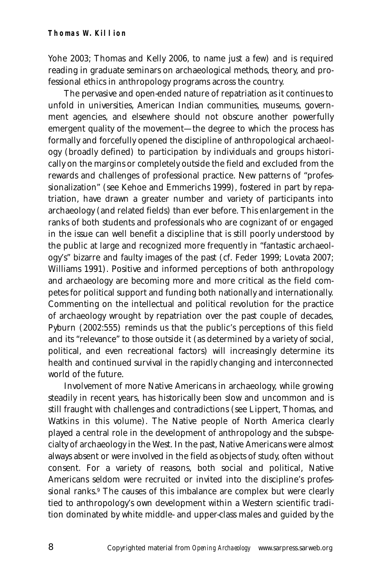Yohe 2003; Thomas and Kelly 2006, to name just a few) and is required reading in graduate seminars on archaeological methods, theory, and professional ethics in anthropology programs across the country.

The pervasive and open-ended nature of repatriation as it continues to unfold in universities, American Indian communities, museums, government agencies, and elsewhere should not obscure another powerfully emergent quality of the movement—the degree to which the process has formally and forcefully opened the discipline of anthropological archaeology (broadly defined) to participation by individuals and groups historically on the margins or completely outside the field and excluded from the rewards and challenges of professional practice. New patterns of "professionalization" (see Kehoe and Emmerichs 1999), fostered in part by repatriation, have drawn a greater number and variety of participants into archaeology (and related fields) than ever before. This enlargement in the ranks of both students and professionals who are cognizant of or engaged in the issue can well benefit a discipline that is still poorly understood by the public at large and recognized more frequently in "fantastic archaeology's" bizarre and faulty images of the past (cf. Feder 1999; Lovata 2007; Williams 1991). Positive and informed perceptions of both anthropology and archaeology are becoming more and more critical as the field competes for political support and funding both nationally and internationally. Commenting on the intellectual and political revolution for the practice of archaeology wrought by repatriation over the past couple of decades, Pyburn (2002:555) reminds us that the public's perceptions of this field and its "relevance" to those outside it (as determined by a variety of social, political, and even recreational factors) will increasingly determine its health and continued survival in the rapidly changing and interconnected world of the future.

Involvement of more Native Americans in archaeology, while growing steadily in recent years, has historically been slow and uncommon and is still fraught with challenges and contradictions (see Lippert, Thomas, and Watkins in this volume). The Native people of North America clearly played a central role in the development of anthropology and the subspecialty of archaeology in the West. In the past, Native Americans were almost always absent or were involved in the field as objects of study, often without consent. For a variety of reasons, both social and political, Native Americans seldom were recruited or invited into the discipline's professional ranks.<sup>9</sup> The causes of this imbalance are complex but were clearly tied to anthropology's own development within a Western scientific tradition dominated by white middle- and upper-class males and guided by the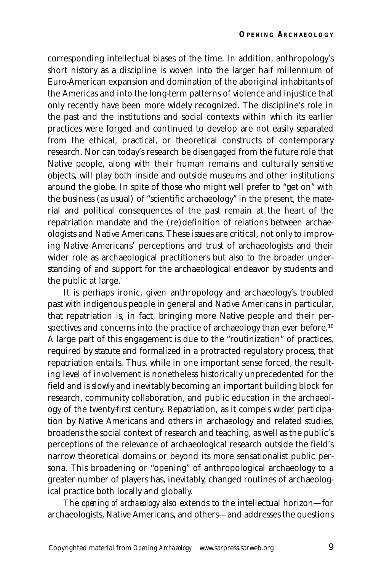corresponding intellectual biases of the time. In addition, anthropology's short history as a discipline is woven into the larger half millennium of Euro-American expansion and domination of the aboriginal inhabitants of the Americas and into the long-term patterns of violence and injustice that only recently have been more widely recognized. The discipline's role in the past and the institutions and social contexts within which its earlier practices were forged and continued to develop are not easily separated from the ethical, practical, or theoretical constructs of contemporary research. Nor can today's research be disengaged from the future role that Native people, along with their human remains and culturally sensitive objects, will play both inside and outside museums and other institutions around the globe. In spite of those who might well prefer to "get on" with the business (as usual) of "scientific archaeology" in the present, the material and political consequences of the past remain at the heart of the repatriation mandate and the (re)definition of relations between archaeologists and Native Americans. These issues are critical, not only to improving Native Americans' perceptions and trust of archaeologists and their wider role as archaeological practitioners but also to the broader understanding of and support for the archaeological endeavor by students and the public at large.

It is perhaps ironic, given anthropology and archaeology's troubled past with indigenous people in general and Native Americans in particular, that repatriation is, in fact, bringing more Native people and their perspectives and concerns into the practice of archaeology than ever before.<sup>10</sup> A large part of this engagement is due to the "routinization" of practices, required by statute and formalized in a protracted regulatory process, that repatriation entails. Thus, while in one important sense forced, the resulting level of involvement is nonetheless historically unprecedented for the field and is slowly and inevitably becoming an important building block for research, community collaboration, and public education in the archaeology of the twenty-first century. Repatriation, as it compels wider participation by Native Americans and others in archaeology and related studies, broadens the social context of research and teaching, as well as the public's perceptions of the relevance of archaeological research outside the field's narrow theoretical domains or beyond its more sensationalist public persona. This broadening or "opening" of anthropological archaeology to a greater number of players has, inevitably, changed routines of archaeological practice both locally and globally.

The *opening of archaeology* also extends to the intellectual horizon—for archaeologists, Native Americans, and others—and addresses the questions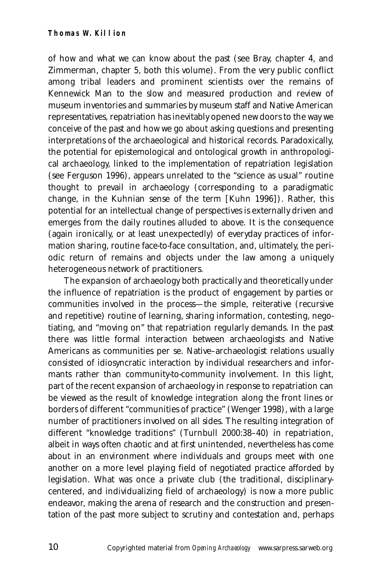of how and what we can know about the past (see Bray, chapter 4, and Zimmerman, chapter 5, both this volume). From the very public conflict among tribal leaders and prominent scientists over the remains of Kennewick Man to the slow and measured production and review of museum inventories and summaries by museum staff and Native American representatives, repatriation has inevitably opened new doors to the way we conceive of the past and how we go about asking questions and presenting interpretations of the archaeological and historical records. Paradoxically, the potential for epistemological and ontological growth in anthropological archaeology, linked to the implementation of repatriation legislation (see Ferguson 1996), appears unrelated to the "science as usual" routine thought to prevail in archaeology (corresponding to a paradigmatic change, in the Kuhnian sense of the term [Kuhn 1996]). Rather, this potential for an intellectual change of perspectives is externally driven and emerges from the daily routines alluded to above. It is the consequence (again ironically, or at least unexpectedly) of everyday practices of information sharing, routine face-to-face consultation, and, ultimately, the periodic return of remains and objects under the law among a uniquely heterogeneous network of practitioners.

The expansion of archaeology both practically and theoretically under the influence of repatriation is the product of engagement by parties or communities involved in the process—the simple, reiterative (recursive and repetitive) routine of learning, sharing information, contesting, negotiating, and "moving on" that repatriation regularly demands. In the past there was little formal interaction between archaeologists and Native Americans as communities per se. Native–archaeologist relations usually consisted of idiosyncratic interaction by individual researchers and informants rather than community-to-community involvement. In this light, part of the recent expansion of archaeology in response to repatriation can be viewed as the result of knowledge integration along the front lines or borders of different "communities of practice" (Wenger 1998), with a large number of practitioners involved on all sides. The resulting integration of different "knowledge traditions" (Turnbull 2000:38–40) in repatriation, albeit in ways often chaotic and at first unintended, nevertheless has come about in an environment where individuals and groups meet with one another on a more level playing field of negotiated practice afforded by legislation. What was once a private club (the traditional, disciplinarycentered, and individualizing field of archaeology) is now a more public endeavor, making the arena of research and the construction and presentation of the past more subject to scrutiny and contestation and, perhaps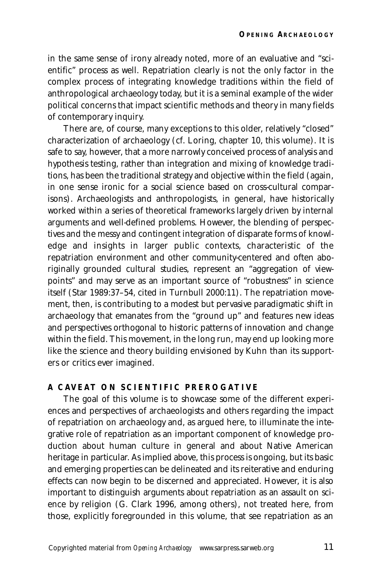in the same sense of irony already noted, more of an evaluative and "scientific" process as well. Repatriation clearly is not the only factor in the complex process of integrating knowledge traditions within the field of anthropological archaeology today, but it is a seminal example of the wider political concerns that impact scientific methods and theory in many fields of contemporary inquiry.

There are, of course, many exceptions to this older, relatively "closed" characterization of archaeology (cf. Loring, chapter 10, this volume). It is safe to say, however, that a more narrowly conceived process of analysis and hypothesis testing, rather than integration and mixing of knowledge traditions, has been the traditional strategy and objective within the field (again, in one sense ironic for a social science based on cross-cultural comparisons). Archaeologists and anthropologists, in general, have historically worked within a series of theoretical frameworks largely driven by internal arguments and well-defined problems. However, the blending of perspectives and the messy and contingent integration of disparate forms of knowledge and insights in larger public contexts, characteristic of the repatriation environment and other community-centered and often aboriginally grounded cultural studies, represent an "aggregation of viewpoints" and may serve as an important source of "robustness" in science itself (Star 1989:37–54, cited in Turnbull 2000:11). The repatriation movement, then, is contributing to a modest but pervasive paradigmatic shift in archaeology that emanates from the "ground up" and features new ideas and perspectives orthogonal to historic patterns of innovation and change within the field. This movement, in the long run, may end up looking more like the science and theory building envisioned by Kuhn than its supporters or critics ever imagined.

# **A CAVEAT ON SCIENTIFIC PREROGATIVE**

The goal of this volume is to showcase some of the different experiences and perspectives of archaeologists and others regarding the impact of repatriation on archaeology and, as argued here, to illuminate the integrative role of repatriation as an important component of knowledge production about human culture in general and about Native American heritage in particular. As implied above, this process is ongoing, but its basic and emerging properties can be delineated and its reiterative and enduring effects can now begin to be discerned and appreciated. However, it is also important to distinguish arguments about repatriation as an assault on science by religion (G. Clark 1996, among others), not treated here, from those, explicitly foregrounded in this volume, that see repatriation as an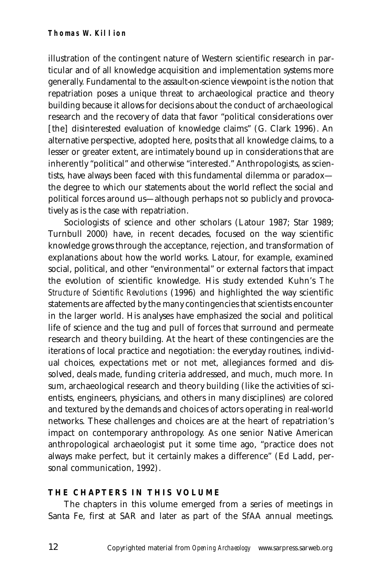illustration of the contingent nature of Western scientific research in particular and of all knowledge acquisition and implementation systems more generally. Fundamental to the assault-on-science viewpoint is the notion that repatriation poses a unique threat to archaeological practice and theory building because it allows for decisions about the conduct of archaeological research and the recovery of data that favor "political considerations over [the] disinterested evaluation of knowledge claims" (G. Clark 1996). An alternative perspective, adopted here, posits that all knowledge claims, to a lesser or greater extent, are intimately bound up in considerations that are inherently "political" and otherwise "interested." Anthropologists, as scientists, have always been faced with this fundamental dilemma or paradox the degree to which our statements about the world reflect the social and political forces around us—although perhaps not so publicly and provocatively as is the case with repatriation.

Sociologists of science and other scholars (Latour 1987; Star 1989; Turnbull 2000) have, in recent decades, focused on the way scientific knowledge grows through the acceptance, rejection, and transformation of explanations about how the world works. Latour, for example, examined social, political, and other "environmental" or external factors that impact the evolution of scientific knowledge. His study extended Kuhn's *The Structure of Scientific Revolutions* (1996) and highlighted the way scientific statements are affected by the many contingencies that scientists encounter in the larger world. His analyses have emphasized the social and political life of science and the tug and pull of forces that surround and permeate research and theory building. At the heart of these contingencies are the iterations of local practice and negotiation: the everyday routines, individual choices, expectations met or not met, allegiances formed and dissolved, deals made, funding criteria addressed, and much, much more. In sum, archaeological research and theory building (like the activities of scientists, engineers, physicians, and others in many disciplines) are colored and textured by the demands and choices of actors operating in real-world networks. These challenges and choices are at the heart of repatriation's impact on contemporary anthropology. As one senior Native American anthropological archaeologist put it some time ago, "practice does not always make perfect, but it certainly makes a difference" (Ed Ladd, personal communication, 1992).

# **THE CHAPTERS IN THIS VOLUME**

The chapters in this volume emerged from a series of meetings in Santa Fe, first at SAR and later as part of the SfAA annual meetings.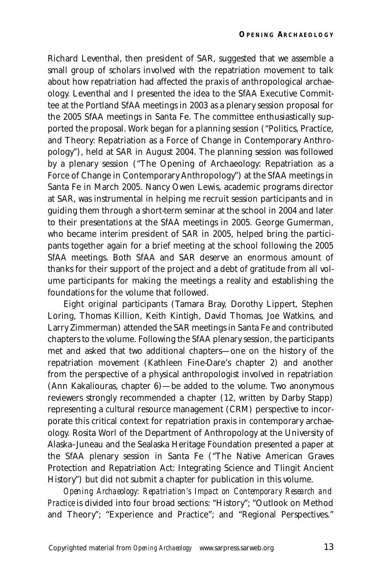Richard Leventhal, then president of SAR, suggested that we assemble a small group of scholars involved with the repatriation movement to talk about how repatriation had affected the praxis of anthropological archaeology. Leventhal and I presented the idea to the SfAA Executive Committee at the Portland SfAA meetings in 2003 as a plenary session proposal for the 2005 SfAA meetings in Santa Fe. The committee enthusiastically supported the proposal. Work began for a planning session ("Politics, Practice, and Theory: Repatriation as a Force of Change in Contemporary Anthropology"), held at SAR in August 2004. The planning session was followed by a plenary session ("The Opening of Archaeology: Repatriation as a Force of Change in Contemporary Anthropology") at the SfAA meetings in Santa Fe in March 2005. Nancy Owen Lewis, academic programs director at SAR, was instrumental in helping me recruit session participants and in guiding them through a short-term seminar at the school in 2004 and later to their presentations at the SfAA meetings in 2005. George Gumerman, who became interim president of SAR in 2005, helped bring the participants together again for a brief meeting at the school following the 2005 SfAA meetings. Both SfAA and SAR deserve an enormous amount of thanks for their support of the project and a debt of gratitude from all volume participants for making the meetings a reality and establishing the foundations for the volume that followed.

Eight original participants (Tamara Bray, Dorothy Lippert, Stephen Loring, Thomas Killion, Keith Kintigh, David Thomas, Joe Watkins, and Larry Zimmerman) attended the SAR meetings in Santa Fe and contributed chapters to the volume. Following the SfAA plenary session, the participants met and asked that two additional chapters—one on the history of the repatriation movement (Kathleen Fine-Dare's chapter 2) and another from the perspective of a physical anthropologist involved in repatriation (Ann Kakaliouras, chapter 6)—be added to the volume. Two anonymous reviewers strongly recommended a chapter (12, written by Darby Stapp) representing a cultural resource management (CRM) perspective to incorporate this critical context for repatriation praxis in contemporary archaeology. Rosita Worl of the Department of Anthropology at the University of Alaska–Juneau and the Sealaska Heritage Foundation presented a paper at the SfAA plenary session in Santa Fe ("The Native American Graves Protection and Repatriation Act: Integrating Science and Tlingit Ancient History") but did not submit a chapter for publication in this volume.

*Opening Archaeology: Repatriation's Impact on Contemporary Research and Practice* is divided into four broad sections: "History"; "Outlook on Method and Theory"; "Experience and Practice"; and "Regional Perspectives."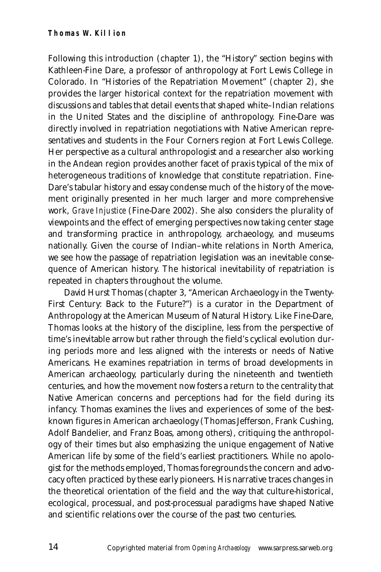Following this introduction (chapter 1), the "History" section begins with Kathleen-Fine Dare, a professor of anthropology at Fort Lewis College in Colorado. In "Histories of the Repatriation Movement" (chapter 2), she provides the larger historical context for the repatriation movement with discussions and tables that detail events that shaped white–Indian relations in the United States and the discipline of anthropology. Fine-Dare was directly involved in repatriation negotiations with Native American representatives and students in the Four Corners region at Fort Lewis College. Her perspective as a cultural anthropologist and a researcher also working in the Andean region provides another facet of praxis typical of the mix of heterogeneous traditions of knowledge that constitute repatriation. Fine-Dare's tabular history and essay condense much of the history of the movement originally presented in her much larger and more comprehensive work, *Grave Injustice* (Fine-Dare 2002). She also considers the plurality of viewpoints and the effect of emerging perspectives now taking center stage and transforming practice in anthropology, archaeology, and museums nationally. Given the course of Indian–white relations in North America, we see how the passage of repatriation legislation was an inevitable consequence of American history. The historical inevitability of repatriation is repeated in chapters throughout the volume.

David Hurst Thomas (chapter 3, "American Archaeology in the Twenty-First Century: Back to the Future?") is a curator in the Department of Anthropology at the American Museum of Natural History. Like Fine-Dare, Thomas looks at the history of the discipline, less from the perspective of time's inevitable arrow but rather through the field's cyclical evolution during periods more and less aligned with the interests or needs of Native Americans. He examines repatriation in terms of broad developments in American archaeology, particularly during the nineteenth and twentieth centuries, and how the movement now fosters a return to the centrality that Native American concerns and perceptions had for the field during its infancy. Thomas examines the lives and experiences of some of the bestknown figures in American archaeology (Thomas Jefferson, Frank Cushing, Adolf Bandelier, and Franz Boas, among others), critiquing the anthropology of their times but also emphasizing the unique engagement of Native American life by some of the field's earliest practitioners. While no apologist for the methods employed, Thomas foregrounds the concern and advocacy often practiced by these early pioneers. His narrative traces changes in the theoretical orientation of the field and the way that culture-historical, ecological, processual, and post-processual paradigms have shaped Native and scientific relations over the course of the past two centuries.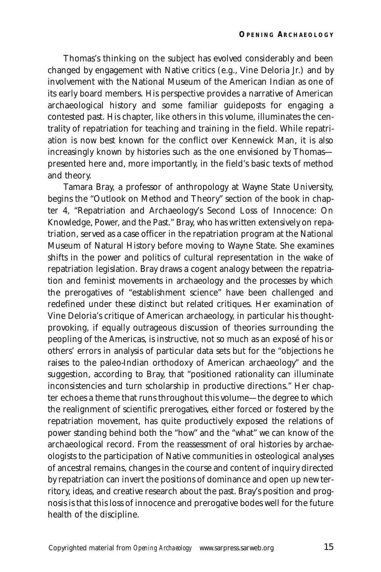Thomas's thinking on the subject has evolved considerably and been changed by engagement with Native critics (e.g., Vine Deloria Jr.) and by involvement with the National Museum of the American Indian as one of its early board members. His perspective provides a narrative of American archaeological history and some familiar guideposts for engaging a contested past. His chapter, like others in this volume, illuminates the centrality of repatriation for teaching and training in the field. While repatriation is now best known for the conflict over Kennewick Man, it is also increasingly known by histories such as the one envisioned by Thomas presented here and, more importantly, in the field's basic texts of method and theory.

Tamara Bray, a professor of anthropology at Wayne State University, begins the "Outlook on Method and Theory" section of the book in chapter 4, "Repatriation and Archaeology's Second Loss of Innocence: On Knowledge, Power, and the Past." Bray, who has written extensively on repatriation, served as a case officer in the repatriation program at the National Museum of Natural History before moving to Wayne State. She examines shifts in the power and politics of cultural representation in the wake of repatriation legislation. Bray draws a cogent analogy between the repatriation and feminist movements in archaeology and the processes by which the prerogatives of "establishment science" have been challenged and redefined under these distinct but related critiques. Her examination of Vine Deloria's critique of American archaeology, in particular his thoughtprovoking, if equally outrageous discussion of theories surrounding the peopling of the Americas, is instructive, not so much as an exposé of his or others' errors in analysis of particular data sets but for the "objections he raises to the paleo-Indian orthodoxy of American archaeology" and the suggestion, according to Bray, that "positioned rationality can illuminate inconsistencies and turn scholarship in productive directions." Her chapter echoes a theme that runs throughout this volume—the degree to which the realignment of scientific prerogatives, either forced or fostered by the repatriation movement, has quite productively exposed the relations of power standing behind both the "how" and the "what" we can know of the archaeological record. From the reassessment of oral histories by archaeologists to the participation of Native communities in osteological analyses of ancestral remains, changes in the course and content of inquiry directed by repatriation can invert the positions of dominance and open up new territory, ideas, and creative research about the past. Bray's position and prognosis is that this loss of innocence and prerogative bodes well for the future health of the discipline.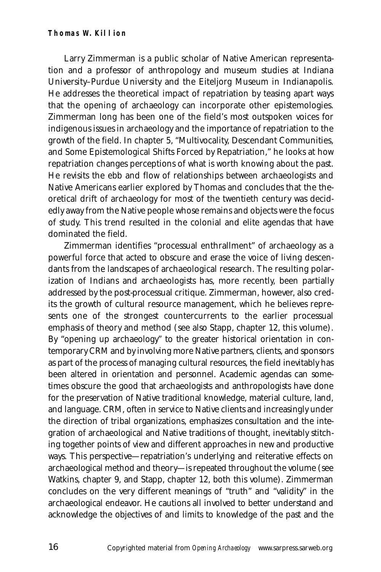#### **Thomas W. Killion**

Larry Zimmerman is a public scholar of Native American representation and a professor of anthropology and museum studies at Indiana University–Purdue University and the Eiteljorg Museum in Indianapolis. He addresses the theoretical impact of repatriation by teasing apart ways that the opening of archaeology can incorporate other epistemologies. Zimmerman long has been one of the field's most outspoken voices for indigenous issues in archaeology and the importance of repatriation to the growth of the field. In chapter 5, "Multivocality, Descendant Communities, and Some Epistemological Shifts Forced by Repatriation," he looks at how repatriation changes perceptions of what is worth knowing about the past. He revisits the ebb and flow of relationships between archaeologists and Native Americans earlier explored by Thomas and concludes that the theoretical drift of archaeology for most of the twentieth century was decidedly away from the Native people whose remains and objects were the focus of study. This trend resulted in the colonial and elite agendas that have dominated the field.

Zimmerman identifies "processual enthrallment" of archaeology as a powerful force that acted to obscure and erase the voice of living descendants from the landscapes of archaeological research. The resulting polarization of Indians and archaeologists has, more recently, been partially addressed by the post-processual critique. Zimmerman, however, also credits the growth of cultural resource management, which he believes represents one of the strongest countercurrents to the earlier processual emphasis of theory and method (see also Stapp, chapter 12, this volume). By "opening up archaeology" to the greater historical orientation in contemporary CRM and by involving more Native partners, clients, and sponsors as part of the process of managing cultural resources, the field inevitably has been altered in orientation and personnel. Academic agendas can sometimes obscure the good that archaeologists and anthropologists have done for the preservation of Native traditional knowledge, material culture, land, and language. CRM, often in service to Native clients and increasingly under the direction of tribal organizations, emphasizes consultation and the integration of archaeological and Native traditions of thought, inevitably stitching together points of view and different approaches in new and productive ways. This perspective—repatriation's underlying and reiterative effects on archaeological method and theory—is repeated throughout the volume (see Watkins, chapter 9, and Stapp, chapter 12, both this volume). Zimmerman concludes on the very different meanings of "truth" and "validity" in the archaeological endeavor. He cautions all involved to better understand and acknowledge the objectives of and limits to knowledge of the past and the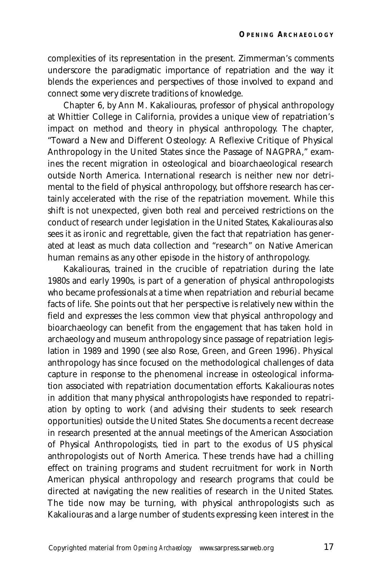complexities of its representation in the present. Zimmerman's comments underscore the paradigmatic importance of repatriation and the way it blends the experiences and perspectives of those involved to expand and connect some very discrete traditions of knowledge.

Chapter 6, by Ann M. Kakaliouras, professor of physical anthropology at Whittier College in California, provides a unique view of repatriation's impact on method and theory in physical anthropology. The chapter, "Toward a New and Different Osteology: A Reflexive Critique of Physical Anthropology in the United States since the Passage of NAGPRA," examines the recent migration in osteological and bioarchaeological research outside North America. International research is neither new nor detrimental to the field of physical anthropology, but offshore research has certainly accelerated with the rise of the repatriation movement. While this shift is not unexpected, given both real and perceived restrictions on the conduct of research under legislation in the United States, Kakaliouras also sees it as ironic and regrettable, given the fact that repatriation has generated at least as much data collection and "research" on Native American human remains as any other episode in the history of anthropology.

Kakaliouras, trained in the crucible of repatriation during the late 1980s and early 1990s, is part of a generation of physical anthropologists who became professionals at a time when repatriation and reburial became facts of life. She points out that her perspective is relatively new within the field and expresses the less common view that physical anthropology and bioarchaeology can benefit from the engagement that has taken hold in archaeology and museum anthropology since passage of repatriation legislation in 1989 and 1990 (see also Rose, Green, and Green 1996). Physical anthropology has since focused on the methodological challenges of data capture in response to the phenomenal increase in osteological information associated with repatriation documentation efforts. Kakaliouras notes in addition that many physical anthropologists have responded to repatriation by opting to work (and advising their students to seek research opportunities) outside the United States. She documents a recent decrease in research presented at the annual meetings of the American Association of Physical Anthropologists, tied in part to the exodus of US physical anthropologists out of North America. These trends have had a chilling effect on training programs and student recruitment for work in North American physical anthropology and research programs that could be directed at navigating the new realities of research in the United States. The tide now may be turning, with physical anthropologists such as Kakaliouras and a large number of students expressing keen interest in the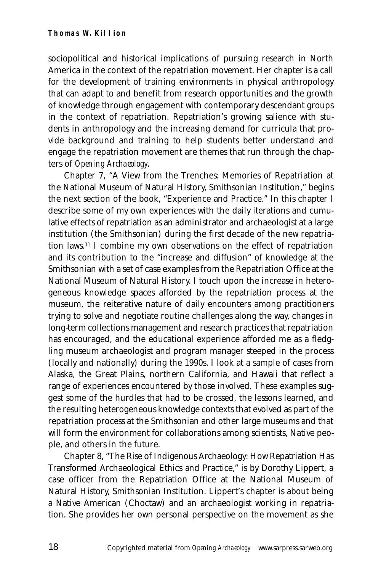sociopolitical and historical implications of pursuing research in North America in the context of the repatriation movement. Her chapter is a call for the development of training environments in physical anthropology that can adapt to and benefit from research opportunities and the growth of knowledge through engagement with contemporary descendant groups in the context of repatriation. Repatriation's growing salience with students in anthropology and the increasing demand for curricula that provide background and training to help students better understand and engage the repatriation movement are themes that run through the chapters of *Opening Archaeology*.

Chapter 7, "A View from the Trenches: Memories of Repatriation at the National Museum of Natural History, Smithsonian Institution," begins the next section of the book, "Experience and Practice." In this chapter I describe some of my own experiences with the daily iterations and cumulative effects of repatriation as an administrator and archaeologist at a large institution (the Smithsonian) during the first decade of the new repatriation laws.11 I combine my own observations on the effect of repatriation and its contribution to the "increase and diffusion" of knowledge at the Smithsonian with a set of case examples from the Repatriation Office at the National Museum of Natural History. I touch upon the increase in heterogeneous knowledge spaces afforded by the repatriation process at the museum, the reiterative nature of daily encounters among practitioners trying to solve and negotiate routine challenges along the way, changes in long-term collections management and research practices that repatriation has encouraged, and the educational experience afforded me as a fledgling museum archaeologist and program manager steeped in the process (locally and nationally) during the 1990s. I look at a sample of cases from Alaska, the Great Plains, northern California, and Hawaii that reflect a range of experiences encountered by those involved. These examples suggest some of the hurdles that had to be crossed, the lessons learned, and the resulting heterogeneous knowledge contexts that evolved as part of the repatriation process at the Smithsonian and other large museums and that will form the environment for collaborations among scientists, Native people, and others in the future.

Chapter 8, "The Rise of Indigenous Archaeology: How Repatriation Has Transformed Archaeological Ethics and Practice," is by Dorothy Lippert, a case officer from the Repatriation Office at the National Museum of Natural History, Smithsonian Institution. Lippert's chapter is about being a Native American (Choctaw) and an archaeologist working in repatriation. She provides her own personal perspective on the movement as she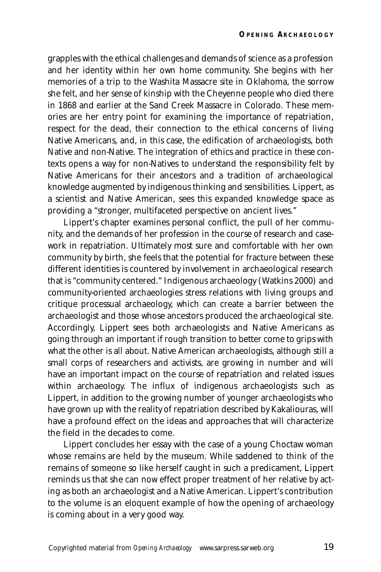grapples with the ethical challenges and demands of science as a profession and her identity within her own home community. She begins with her memories of a trip to the Washita Massacre site in Oklahoma, the sorrow she felt, and her sense of kinship with the Cheyenne people who died there in 1868 and earlier at the Sand Creek Massacre in Colorado. These memories are her entry point for examining the importance of repatriation, respect for the dead, their connection to the ethical concerns of living Native Americans, and, in this case, the edification of archaeologists, both Native and non-Native. The integration of ethics and practice in these contexts opens a way for non-Natives to understand the responsibility felt by Native Americans for their ancestors and a tradition of archaeological knowledge augmented by indigenous thinking and sensibilities. Lippert, as a scientist and Native American, sees this expanded knowledge space as providing a "stronger, multifaceted perspective on ancient lives."

Lippert's chapter examines personal conflict, the pull of her community, and the demands of her profession in the course of research and casework in repatriation. Ultimately most sure and comfortable with her own community by birth, she feels that the potential for fracture between these different identities is countered by involvement in archaeological research that is "community centered." Indigenous archaeology (Watkins 2000) and community-oriented archaeologies stress relations with living groups and critique processual archaeology, which can create a barrier between the archaeologist and those whose ancestors produced the archaeological site. Accordingly, Lippert sees both archaeologists and Native Americans as going through an important if rough transition to better come to grips with what the other is all about. Native American archaeologists, although still a small corps of researchers and activists, are growing in number and will have an important impact on the course of repatriation and related issues within archaeology. The influx of indigenous archaeologists such as Lippert, in addition to the growing number of younger archaeologists who have grown up with the reality of repatriation described by Kakaliouras, will have a profound effect on the ideas and approaches that will characterize the field in the decades to come.

Lippert concludes her essay with the case of a young Choctaw woman whose remains are held by the museum. While saddened to think of the remains of someone so like herself caught in such a predicament, Lippert reminds us that she can now effect proper treatment of her relative by acting as both an archaeologist and a Native American. Lippert's contribution to the volume is an eloquent example of how the opening of archaeology is coming about in a very good way.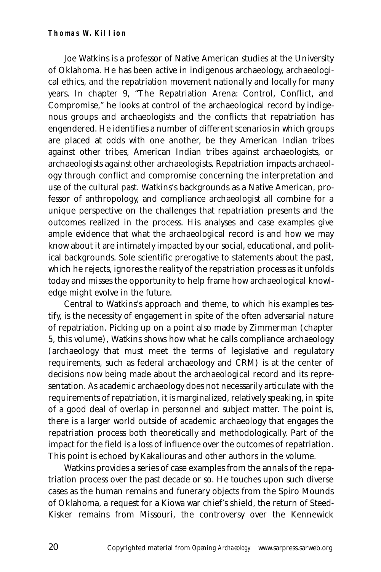#### **Thomas W. Killion**

Joe Watkins is a professor of Native American studies at the University of Oklahoma. He has been active in indigenous archaeology, archaeological ethics, and the repatriation movement nationally and locally for many years. In chapter 9, "The Repatriation Arena: Control, Conflict, and Compromise," he looks at control of the archaeological record by indigenous groups and archaeologists and the conflicts that repatriation has engendered. He identifies a number of different scenarios in which groups are placed at odds with one another, be they American Indian tribes against other tribes, American Indian tribes against archaeologists, or archaeologists against other archaeologists. Repatriation impacts archaeology through conflict and compromise concerning the interpretation and use of the cultural past. Watkins's backgrounds as a Native American, professor of anthropology, and compliance archaeologist all combine for a unique perspective on the challenges that repatriation presents and the outcomes realized in the process. His analyses and case examples give ample evidence that what the archaeological record is and how we may know about it are intimately impacted by our social, educational, and political backgrounds. Sole scientific prerogative to statements about the past, which he rejects, ignores the reality of the repatriation process as it unfolds today and misses the opportunity to help frame how archaeological knowledge might evolve in the future.

Central to Watkins's approach and theme, to which his examples testify, is the necessity of engagement in spite of the often adversarial nature of repatriation. Picking up on a point also made by Zimmerman (chapter 5, this volume), Watkins shows how what he calls compliance archaeology (archaeology that must meet the terms of legislative and regulatory requirements, such as federal archaeology and CRM) is at the center of decisions now being made about the archaeological record and its representation. As academic archaeology does not necessarily articulate with the requirements of repatriation, it is marginalized, relatively speaking, in spite of a good deal of overlap in personnel and subject matter. The point is, there is a larger world outside of academic archaeology that engages the repatriation process both theoretically and methodologically. Part of the impact for the field is a loss of influence over the outcomes of repatriation. This point is echoed by Kakaliouras and other authors in the volume.

Watkins provides a series of case examples from the annals of the repatriation process over the past decade or so. He touches upon such diverse cases as the human remains and funerary objects from the Spiro Mounds of Oklahoma, a request for a Kiowa war chief's shield, the return of Steed-Kisker remains from Missouri, the controversy over the Kennewick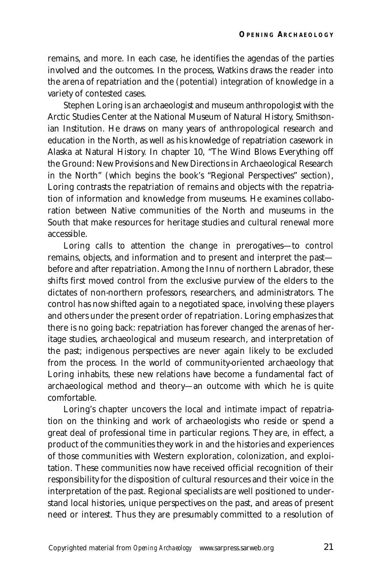remains, and more. In each case, he identifies the agendas of the parties involved and the outcomes. In the process, Watkins draws the reader into the arena of repatriation and the (potential) integration of knowledge in a variety of contested cases.

Stephen Loring is an archaeologist and museum anthropologist with the Arctic Studies Center at the National Museum of Natural History, Smithsonian Institution. He draws on many years of anthropological research and education in the North, as well as his knowledge of repatriation casework in Alaska at Natural History. In chapter 10, "The Wind Blows Everything off the Ground: New Provisions and New Directions in Archaeological Research in the North" (which begins the book's "Regional Perspectives" section), Loring contrasts the repatriation of remains and objects with the repatriation of information and knowledge from museums. He examines collaboration between Native communities of the North and museums in the South that make resources for heritage studies and cultural renewal more accessible.

Loring calls to attention the change in prerogatives—to control remains, objects, and information and to present and interpret the past before and after repatriation. Among the Innu of northern Labrador, these shifts first moved control from the exclusive purview of the elders to the dictates of non-northern professors, researchers, and administrators. The control has now shifted again to a negotiated space, involving these players and others under the present order of repatriation. Loring emphasizes that there is no going back: repatriation has forever changed the arenas of heritage studies, archaeological and museum research, and interpretation of the past; indigenous perspectives are never again likely to be excluded from the process. In the world of community-oriented archaeology that Loring inhabits, these new relations have become a fundamental fact of archaeological method and theory—an outcome with which he is quite comfortable.

Loring's chapter uncovers the local and intimate impact of repatriation on the thinking and work of archaeologists who reside or spend a great deal of professional time in particular regions. They are, in effect, a product of the communities they work in and the histories and experiences of those communities with Western exploration, colonization, and exploitation. These communities now have received official recognition of their responsibility for the disposition of cultural resources and their voice in the interpretation of the past. Regional specialists are well positioned to understand local histories, unique perspectives on the past, and areas of present need or interest. Thus they are presumably committed to a resolution of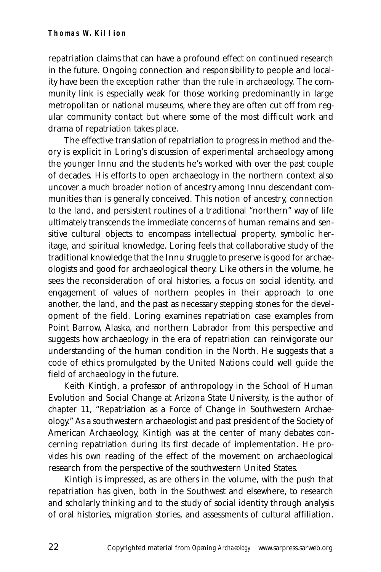repatriation claims that can have a profound effect on continued research in the future. Ongoing connection and responsibility to people and locality have been the exception rather than the rule in archaeology. The community link is especially weak for those working predominantly in large metropolitan or national museums, where they are often cut off from regular community contact but where some of the most difficult work and drama of repatriation takes place.

The effective translation of repatriation to progress in method and theory is explicit in Loring's discussion of experimental archaeology among the younger Innu and the students he's worked with over the past couple of decades. His efforts to open archaeology in the northern context also uncover a much broader notion of ancestry among Innu descendant communities than is generally conceived. This notion of ancestry, connection to the land, and persistent routines of a traditional "northern" way of life ultimately transcends the immediate concerns of human remains and sensitive cultural objects to encompass intellectual property, symbolic heritage, and spiritual knowledge. Loring feels that collaborative study of the traditional knowledge that the Innu struggle to preserve is good for archaeologists and good for archaeological theory. Like others in the volume, he sees the reconsideration of oral histories, a focus on social identity, and engagement of values of northern peoples in their approach to one another, the land, and the past as necessary stepping stones for the development of the field. Loring examines repatriation case examples from Point Barrow, Alaska, and northern Labrador from this perspective and suggests how archaeology in the era of repatriation can reinvigorate our understanding of the human condition in the North. He suggests that a code of ethics promulgated by the United Nations could well guide the field of archaeology in the future.

Keith Kintigh, a professor of anthropology in the School of Human Evolution and Social Change at Arizona State University, is the author of chapter 11, "Repatriation as a Force of Change in Southwestern Archaeology." As a southwestern archaeologist and past president of the Society of American Archaeology, Kintigh was at the center of many debates concerning repatriation during its first decade of implementation. He provides his own reading of the effect of the movement on archaeological research from the perspective of the southwestern United States.

Kintigh is impressed, as are others in the volume, with the push that repatriation has given, both in the Southwest and elsewhere, to research and scholarly thinking and to the study of social identity through analysis of oral histories, migration stories, and assessments of cultural affiliation.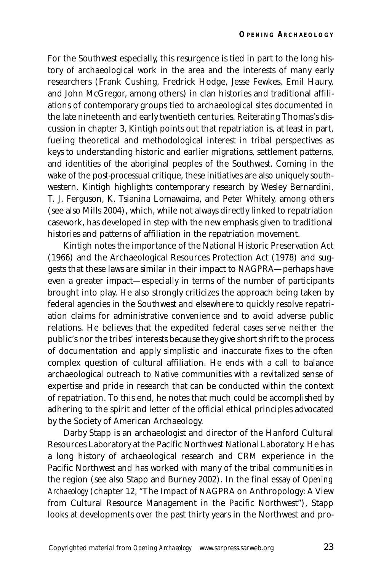For the Southwest especially, this resurgence is tied in part to the long history of archaeological work in the area and the interests of many early researchers (Frank Cushing, Fredrick Hodge, Jesse Fewkes, Emil Haury, and John McGregor, among others) in clan histories and traditional affiliations of contemporary groups tied to archaeological sites documented in the late nineteenth and early twentieth centuries. Reiterating Thomas's discussion in chapter 3, Kintigh points out that repatriation is, at least in part, fueling theoretical and methodological interest in tribal perspectives as keys to understanding historic and earlier migrations, settlement patterns, and identities of the aboriginal peoples of the Southwest. Coming in the wake of the post-processual critique, these initiatives are also uniquely southwestern. Kintigh highlights contemporary research by Wesley Bernardini, T. J. Ferguson, K. Tsianina Lomawaima, and Peter Whitely, among others (see also Mills 2004), which, while not always directly linked to repatriation casework, has developed in step with the new emphasis given to traditional histories and patterns of affiliation in the repatriation movement.

Kintigh notes the importance of the National Historic Preservation Act (1966) and the Archaeological Resources Protection Act (1978) and suggests that these laws are similar in their impact to NAGPRA—perhaps have even a greater impact—especially in terms of the number of participants brought into play. He also strongly criticizes the approach being taken by federal agencies in the Southwest and elsewhere to quickly resolve repatriation claims for administrative convenience and to avoid adverse public relations. He believes that the expedited federal cases serve neither the public's nor the tribes' interests because they give short shrift to the process of documentation and apply simplistic and inaccurate fixes to the often complex question of cultural affiliation. He ends with a call to balance archaeological outreach to Native communities with a revitalized sense of expertise and pride in research that can be conducted within the context of repatriation. To this end, he notes that much could be accomplished by adhering to the spirit and letter of the official ethical principles advocated by the Society of American Archaeology.

Darby Stapp is an archaeologist and director of the Hanford Cultural Resources Laboratory at the Pacific Northwest National Laboratory. He has a long history of archaeological research and CRM experience in the Pacific Northwest and has worked with many of the tribal communities in the region (see also Stapp and Burney 2002). In the final essay of *Opening Archaeology* (chapter 12, "The Impact of NAGPRA on Anthropology: A View from Cultural Resource Management in the Pacific Northwest"), Stapp looks at developments over the past thirty years in the Northwest and pro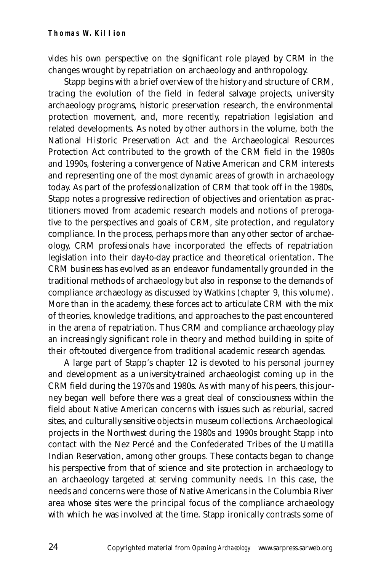vides his own perspective on the significant role played by CRM in the changes wrought by repatriation on archaeology and anthropology.

Stapp begins with a brief overview of the history and structure of CRM, tracing the evolution of the field in federal salvage projects, university archaeology programs, historic preservation research, the environmental protection movement, and, more recently, repatriation legislation and related developments. As noted by other authors in the volume, both the National Historic Preservation Act and the Archaeological Resources Protection Act contributed to the growth of the CRM field in the 1980s and 1990s, fostering a convergence of Native American and CRM interests and representing one of the most dynamic areas of growth in archaeology today. As part of the professionalization of CRM that took off in the 1980s, Stapp notes a progressive redirection of objectives and orientation as practitioners moved from academic research models and notions of prerogative to the perspectives and goals of CRM, site protection, and regulatory compliance. In the process, perhaps more than any other sector of archaeology, CRM professionals have incorporated the effects of repatriation legislation into their day-to-day practice and theoretical orientation. The CRM business has evolved as an endeavor fundamentally grounded in the traditional methods of archaeology but also in response to the demands of compliance archaeology as discussed by Watkins (chapter 9, this volume). More than in the academy, these forces act to articulate CRM with the mix of theories, knowledge traditions, and approaches to the past encountered in the arena of repatriation. Thus CRM and compliance archaeology play an increasingly significant role in theory and method building in spite of their oft-touted divergence from traditional academic research agendas.

A large part of Stapp's chapter 12 is devoted to his personal journey and development as a university-trained archaeologist coming up in the CRM field during the 1970s and 1980s. As with many of his peers, this journey began well before there was a great deal of consciousness within the field about Native American concerns with issues such as reburial, sacred sites, and culturally sensitive objects in museum collections. Archaeological projects in the Northwest during the 1980s and 1990s brought Stapp into contact with the Nez Percé and the Confederated Tribes of the Umatilla Indian Reservation, among other groups. These contacts began to change his perspective from that of science and site protection in archaeology to an archaeology targeted at serving community needs. In this case, the needs and concerns were those of Native Americans in the Columbia River area whose sites were the principal focus of the compliance archaeology with which he was involved at the time. Stapp ironically contrasts some of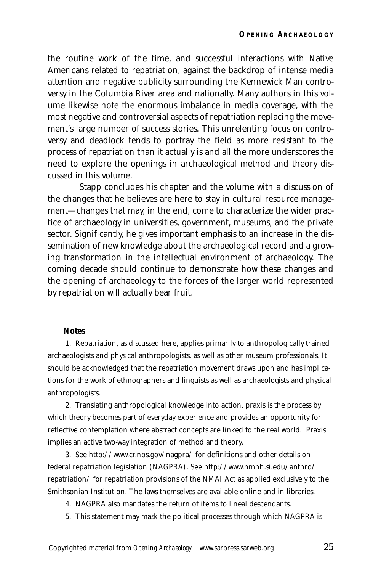the routine work of the time, and successful interactions with Native Americans related to repatriation, against the backdrop of intense media attention and negative publicity surrounding the Kennewick Man controversy in the Columbia River area and nationally. Many authors in this volume likewise note the enormous imbalance in media coverage, with the most negative and controversial aspects of repatriation replacing the movement's large number of success stories. This unrelenting focus on controversy and deadlock tends to portray the field as more resistant to the process of repatriation than it actually is and all the more underscores the need to explore the openings in archaeological method and theory discussed in this volume.

Stapp concludes his chapter and the volume with a discussion of the changes that he believes are here to stay in cultural resource management—changes that may, in the end, come to characterize the wider practice of archaeology in universities, government, museums, and the private sector. Significantly, he gives important emphasis to an increase in the dissemination of new knowledge about the archaeological record and a growing transformation in the intellectual environment of archaeology. The coming decade should continue to demonstrate how these changes and the opening of archaeology to the forces of the larger world represented by repatriation will actually bear fruit.

#### **Notes**

1. Repatriation, as discussed here, applies primarily to anthropologically trained archaeologists and physical anthropologists, as well as other museum professionals. It should be acknowledged that the repatriation movement draws upon and has implications for the work of ethnographers and linguists as well as archaeologists and physical anthropologists.

2. Translating anthropological knowledge into action, praxis is the process by which theory becomes part of everyday experience and provides an opportunity for reflective contemplation where abstract concepts are linked to the real world. Praxis implies an active two-way integration of method and theory.

3. See http://www.cr.nps.gov/nagpra/ for definitions and other details on federal repatriation legislation (NAGPRA). See http://www.nmnh.si.edu/anthro/ repatriation/ for repatriation provisions of the NMAI Act as applied exclusively to the Smithsonian Institution. The laws themselves are available online and in libraries.

4. NAGPRA also mandates the return of items to lineal descendants.

5. This statement may mask the political processes through which NAGPRA is